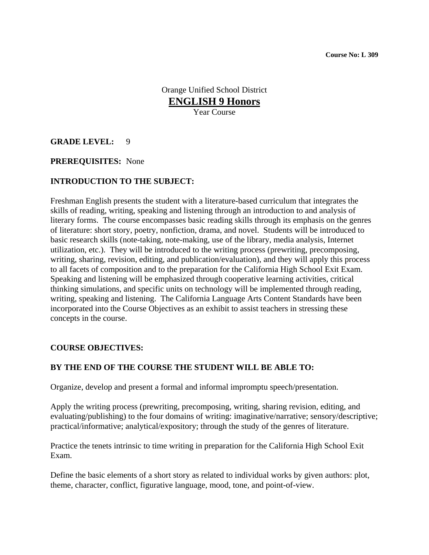Orange Unified School District **ENGLISH 9 Honors** Year Course

### **GRADE LEVEL:** 9

#### **PREREQUISITES:** None

### **INTRODUCTION TO THE SUBJECT:**

Freshman English presents the student with a literature-based curriculum that integrates the skills of reading, writing, speaking and listening through an introduction to and analysis of literary forms. The course encompasses basic reading skills through its emphasis on the genres of literature: short story, poetry, nonfiction, drama, and novel. Students will be introduced to basic research skills (note-taking, note-making, use of the library, media analysis, Internet utilization, etc.). They will be introduced to the writing process (prewriting, precomposing, writing, sharing, revision, editing, and publication/evaluation), and they will apply this process to all facets of composition and to the preparation for the California High School Exit Exam. Speaking and listening will be emphasized through cooperative learning activities, critical thinking simulations, and specific units on technology will be implemented through reading, writing, speaking and listening. The California Language Arts Content Standards have been incorporated into the Course Objectives as an exhibit to assist teachers in stressing these concepts in the course.

#### **COURSE OBJECTIVES:**

### **BY THE END OF THE COURSE THE STUDENT WILL BE ABLE TO:**

Organize, develop and present a formal and informal impromptu speech/presentation.

Apply the writing process (prewriting, precomposing, writing, sharing revision, editing, and evaluating/publishing) to the four domains of writing: imaginative/narrative; sensory/descriptive; practical/informative; analytical/expository; through the study of the genres of literature.

Practice the tenets intrinsic to time writing in preparation for the California High School Exit Exam.

Define the basic elements of a short story as related to individual works by given authors: plot, theme, character, conflict, figurative language, mood, tone, and point-of-view.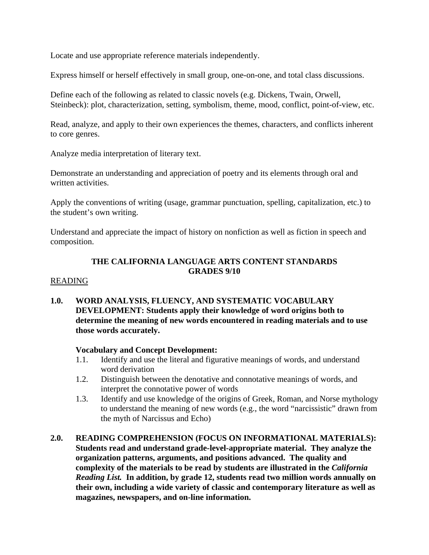Locate and use appropriate reference materials independently.

Express himself or herself effectively in small group, one-on-one, and total class discussions.

Define each of the following as related to classic novels (e.g. Dickens, Twain, Orwell, Steinbeck): plot, characterization, setting, symbolism, theme, mood, conflict, point-of-view, etc.

Read, analyze, and apply to their own experiences the themes, characters, and conflicts inherent to core genres.

Analyze media interpretation of literary text.

Demonstrate an understanding and appreciation of poetry and its elements through oral and written activities.

Apply the conventions of writing (usage, grammar punctuation, spelling, capitalization, etc.) to the student's own writing.

Understand and appreciate the impact of history on nonfiction as well as fiction in speech and composition.

## **THE CALIFORNIA LANGUAGE ARTS CONTENT STANDARDS GRADES 9/10**

### READING

**1.0. WORD ANALYSIS, FLUENCY, AND SYSTEMATIC VOCABULARY DEVELOPMENT: Students apply their knowledge of word origins both to determine the meaning of new words encountered in reading materials and to use those words accurately.** 

### **Vocabulary and Concept Development:**

- 1.1. Identify and use the literal and figurative meanings of words, and understand word derivation
- 1.2. Distinguish between the denotative and connotative meanings of words, and interpret the connotative power of words
- 1.3. Identify and use knowledge of the origins of Greek, Roman, and Norse mythology to understand the meaning of new words (e.g., the word "narcissistic" drawn from the myth of Narcissus and Echo)
- **2.0. READING COMPREHENSION (FOCUS ON INFORMATIONAL MATERIALS): Students read and understand grade-level-appropriate material. They analyze the organization patterns, arguments, and positions advanced. The quality and complexity of the materials to be read by students are illustrated in the** *California Reading List.* **In addition, by grade 12, students read two million words annually on their own, including a wide variety of classic and contemporary literature as well as magazines, newspapers, and on-line information.**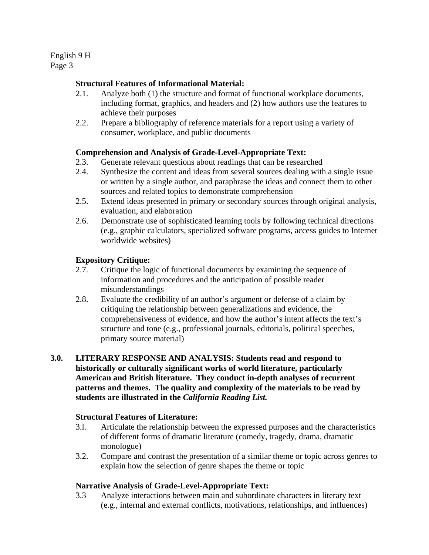### **Structural Features of Informational Material:**

- 2.1. Analyze both (1) the structure and format of functional workplace documents, including format, graphics, and headers and (2) how authors use the features to achieve their purposes
- 2.2. Prepare a bibliography of reference materials for a report using a variety of consumer, workplace, and public documents

### **Comprehension and Analysis of Grade-Level-Appropriate Text:**

- 2.3. Generate relevant questions about readings that can be researched
- 2.4. Synthesize the content and ideas from several sources dealing with a single issue or written by a single author, and paraphrase the ideas and connect them to other sources and related topics to demonstrate comprehension
- 2.5. Extend ideas presented in primary or secondary sources through original analysis, evaluation, and elaboration
- 2.6. Demonstrate use of sophisticated learning tools by following technical directions (e.g., graphic calculators, specialized software programs, access guides to Internet worldwide websites)

### **Expository Critique:**

- 2.7. Critique the logic of functional documents by examining the sequence of information and procedures and the anticipation of possible reader misunderstandings
- 2.8. Evaluate the credibility of an author's argument or defense of a claim by critiquing the relationship between generalizations and evidence, the comprehensiveness of evidence, and how the author's intent affects the text's structure and tone (e.g., professional journals, editorials, political speeches, primary source material)

## **3.0. LITERARY RESPONSE AND ANALYSIS: Students read and respond to historically or culturally significant works of world literature, particularly American and British literature. They conduct in-depth analyses of recurrent patterns and themes. The quality and complexity of the materials to be read by students are illustrated in the** *California Reading List.*

### **Structural Features of Literature:**

- 3.l. Articulate the relationship between the expressed purposes and the characteristics of different forms of dramatic literature (comedy, tragedy, drama, dramatic monologue)
- 3.2. Compare and contrast the presentation of a similar theme or topic across genres to explain how the selection of genre shapes the theme or topic

### **Narrative Analysis of Grade-Level-Appropriate Text:**

3.3 Analyze interactions between main and subordinate characters in literary text (e.g., internal and external conflicts, motivations, relationships, and influences)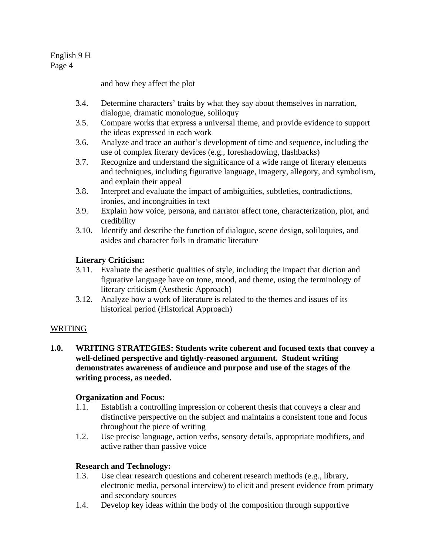and how they affect the plot

- 3.4. Determine characters' traits by what they say about themselves in narration, dialogue, dramatic monologue, soliloquy
- 3.5. Compare works that express a universal theme, and provide evidence to support the ideas expressed in each work
- 3.6. Analyze and trace an author's development of time and sequence, including the use of complex literary devices (e.g., foreshadowing, flashbacks)
- 3.7. Recognize and understand the significance of a wide range of literary elements and techniques, including figurative language, imagery, allegory, and symbolism, and explain their appeal
- 3.8. Interpret and evaluate the impact of ambiguities, subtleties, contradictions, ironies, and incongruities in text
- 3.9. Explain how voice, persona, and narrator affect tone, characterization, plot, and credibility
- 3.10. Identify and describe the function of dialogue, scene design, soliloquies, and asides and character foils in dramatic literature

# **Literary Criticism:**

- 3.11. Evaluate the aesthetic qualities of style, including the impact that diction and figurative language have on tone, mood, and theme, using the terminology of literary criticism (Aesthetic Approach)
- 3.12. Analyze how a work of literature is related to the themes and issues of its historical period (Historical Approach)

### WRITING

**1.0. WRITING STRATEGIES: Students write coherent and focused texts that convey a well-defined perspective and tightly-reasoned argument. Student writing demonstrates awareness of audience and purpose and use of the stages of the writing process, as needed.** 

### **Organization and Focus:**

- 1.1. Establish a controlling impression or coherent thesis that conveys a clear and distinctive perspective on the subject and maintains a consistent tone and focus throughout the piece of writing
- 1.2. Use precise language, action verbs, sensory details, appropriate modifiers, and active rather than passive voice

# **Research and Technology:**

- 1.3. Use clear research questions and coherent research methods (e.g., library, electronic media, personal interview) to elicit and present evidence from primary and secondary sources
- 1.4. Develop key ideas within the body of the composition through supportive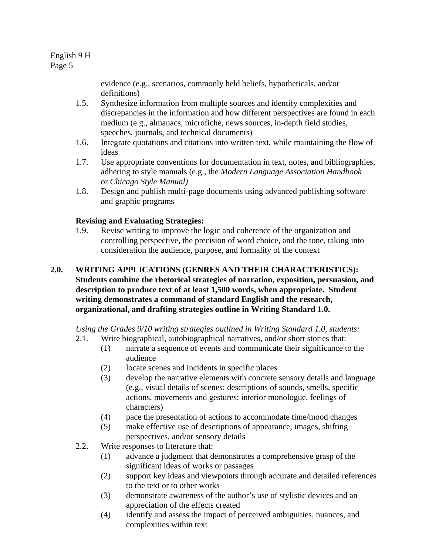evidence (e.g., scenarios, commonly held beliefs, hypotheticals, and/or definitions)

- 1.5. Synthesize information from multiple sources and identify complexities and discrepancies in the information and how different perspectives are found in each medium (e.g., almanacs, microfiche, news sources, in-depth field studies, speeches, journals, and technical documents)
- 1.6. Integrate quotations and citations into written text, while maintaining the flow of ideas
- 1.7. Use appropriate conventions for documentation in text, notes, and bibliographies, adhering to style manuals (e.g., the *Modern Language Association Handbook*  or *Chicago Style Manual)*
- 1.8. Design and publish multi-page documents using advanced publishing software and graphic programs

# **Revising and Evaluating Strategies:**

- 1.9. Revise writing to improve the logic and coherence of the organization and controlling perspective, the precision of word choice, and the tone, taking into consideration the audience, purpose, and formality of the context
- **2.0. WRITING APPLICATIONS (GENRES AND THEIR CHARACTERISTICS): Students combine the rhetorical strategies of narration, exposition, persuasion, and description to produce text of at least 1,500 words, when appropriate. Student writing demonstrates a command of standard English and the research, organizational, and drafting strategies outline in Writing Standard 1.0.**

*Using the Grades 9/10 writing strategies outlined in Writing Standard 1.0, students:* 

- 2.1. Write biographical, autobiographical narratives, and/or short stories that:
	- (1) narrate a sequence of events and communicate their significance to the audience
	- (2) locate scenes and incidents in specific places
	- (3) develop the narrative elements with concrete sensory details and language (e.g., visual details of scenes; descriptions of sounds, smells, specific actions, movements and gestures; interior monologue, feelings of characters)
	- (4) pace the presentation of actions to accommodate time/mood changes
	- (5) make effective use of descriptions of appearance, images, shifting perspectives, and/or sensory details
- 2.2. Write responses to literature that:
	- (1) advance a judgment that demonstrates a comprehensive grasp of the significant ideas of works or passages
	- (2) support key ideas and viewpoints through accurate and detailed references to the text or to other works
	- (3) demonstrate awareness of the author's use of stylistic devices and an appreciation of the effects created
	- (4) identify and assess the impact of perceived ambiguities, nuances, and complexities within text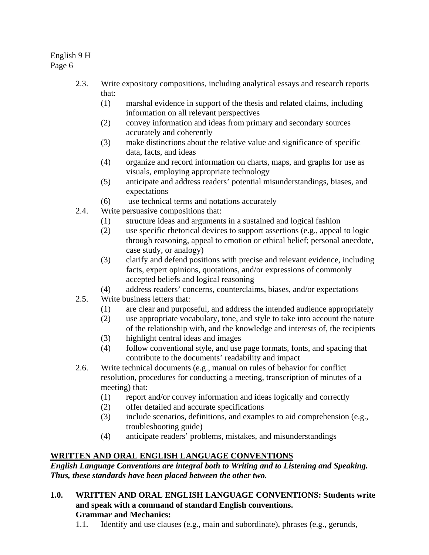- 2.3. Write expository compositions, including analytical essays and research reports that:
	- (1) marshal evidence in support of the thesis and related claims, including information on all relevant perspectives
	- (2) convey information and ideas from primary and secondary sources accurately and coherently
	- (3) make distinctions about the relative value and significance of specific data, facts, and ideas
	- (4) organize and record information on charts, maps, and graphs for use as visuals, employing appropriate technology
	- (5) anticipate and address readers' potential misunderstandings, biases, and expectations
	- (6) use technical terms and notations accurately
- 2.4. Write persuasive compositions that:
	- (1) structure ideas and arguments in a sustained and logical fashion
	- (2) use specific rhetorical devices to support assertions (e.g., appeal to logic through reasoning, appeal to emotion or ethical belief; personal anecdote, case study, or analogy)
	- (3) clarify and defend positions with precise and relevant evidence, including facts, expert opinions, quotations, and/or expressions of commonly accepted beliefs and logical reasoning
	- (4) address readers' concerns, counterclaims, biases, and/or expectations
- 2.5. Write business letters that:
	- (1) are clear and purposeful, and address the intended audience appropriately
	- (2) use appropriate vocabulary, tone, and style to take into account the nature of the relationship with, and the knowledge and interests of, the recipients
	- (3) highlight central ideas and images
	- (4) follow conventional style, and use page formats, fonts, and spacing that contribute to the documents' readability and impact
- 2.6. Write technical documents (e.g., manual on rules of behavior for conflict resolution, procedures for conducting a meeting, transcription of minutes of a meeting) that:
	- (1) report and/or convey information and ideas logically and correctly
	- (2) offer detailed and accurate specifications
	- (3) include scenarios, definitions, and examples to aid comprehension (e.g., troubleshooting guide)
	- (4) anticipate readers' problems, mistakes, and misunderstandings

# **WRITTEN AND ORAL ENGLISH LANGUAGE CONVENTIONS**

*English Language Conventions are integral both to Writing and to Listening and Speaking. Thus, these standards have been placed between the other two.* 

- **1.0. WRITTEN AND ORAL ENGLISH LANGUAGE CONVENTIONS: Students write and speak with a command of standard English conventions. Grammar and Mechanics:** 
	- 1.1. Identify and use clauses (e.g., main and subordinate), phrases (e.g., gerunds,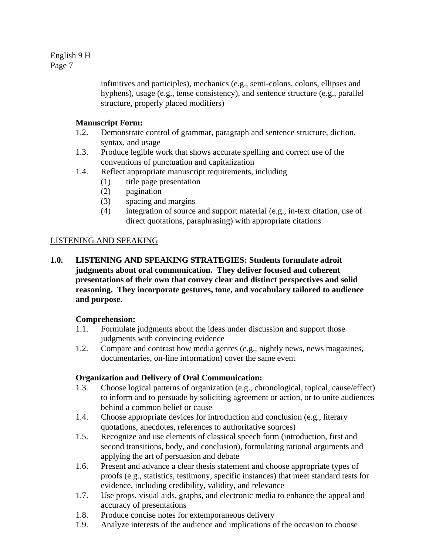> infinitives and participles), mechanics (e.g., semi-colons, colons, ellipses and hyphens), usage (e.g., tense consistency), and sentence structure (e.g., parallel structure, properly placed modifiers)

## **Manuscript Form:**

- 1.2. Demonstrate control of grammar, paragraph and sentence structure, diction, syntax, and usage
- 1.3. Produce legible work that shows accurate spelling and correct use of the conventions of punctuation and capitalization
- 1.4. Reflect appropriate manuscript requirements, including
	- (1) title page presentation
		- (2) pagination
		- (3) spacing and margins
		- (4) integration of source and support material (e.g., in-text citation, use of direct quotations, paraphrasing) with appropriate citations

# LISTENING AND SPEAKING

**1.0. LISTENING AND SPEAKING STRATEGIES: Students formulate adroit judgments about oral communication. They deliver focused and coherent presentations of their own that convey clear and distinct perspectives and solid reasoning. They incorporate gestures, tone, and vocabulary tailored to audience and purpose.** 

### **Comprehension:**

- 1.1. Formulate judgments about the ideas under discussion and support those judgments with convincing evidence
- 1.2. Compare and contrast how media genres (e.g., nightly news, news magazines, documentaries, on-line information) cover the same event

### **Organization and Delivery of Oral Communication:**

- 1.3. Choose logical patterns of organization (e.g., chronological, topical, cause/effect) to inform and to persuade by soliciting agreement or action, or to unite audiences behind a common belief or cause
- 1.4. Choose appropriate devices for introduction and conclusion (e.g., literary quotations, anecdotes, references to authoritative sources)
- 1.5. Recognize and use elements of classical speech form (introduction, first and second transitions, body, and conclusion), formulating rational arguments and applying the art of persuasion and debate
- 1.6. Present and advance a clear thesis statement and choose appropriate types of proofs (e.g., statistics, testimony, specific instances) that meet standard tests for evidence, including credibility, validity, and relevance
- 1.7. Use props, visual aids, graphs, and electronic media to enhance the appeal and accuracy of presentations
- 1.8. Produce concise notes for extemporaneous delivery
- 1.9. Analyze interests of the audience and implications of the occasion to choose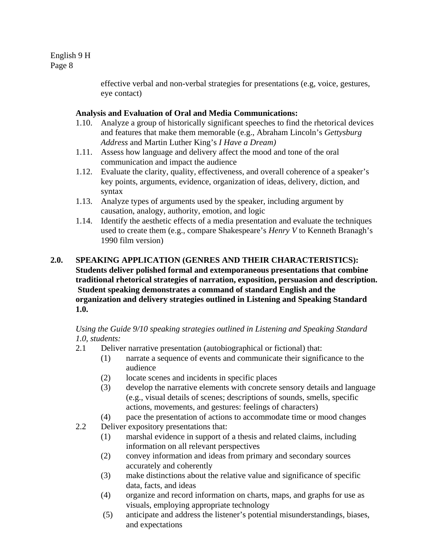> effective verbal and non-verbal strategies for presentations (e.g, voice, gestures, eye contact)

### **Analysis and Evaluation of Oral and Media Communications:**

- 1.10. Analyze a group of historically significant speeches to find the rhetorical devices and features that make them memorable (e.g., Abraham Lincoln's *Gettysburg Address* and Martin Luther King's *I Have a Dream)*
- 1.11. Assess how language and delivery affect the mood and tone of the oral communication and impact the audience
- 1.12. Evaluate the clarity, quality, effectiveness, and overall coherence of a speaker's key points, arguments, evidence, organization of ideas, delivery, diction, and syntax
- 1.13. Analyze types of arguments used by the speaker, including argument by causation, analogy, authority, emotion, and logic
- 1.14. Identify the aesthetic effects of a media presentation and evaluate the techniques used to create them (e.g., compare Shakespeare's *Henry V* to Kenneth Branagh's 1990 film version)

### **2.0. SPEAKING APPLICATION (GENRES AND THEIR CHARACTERISTICS): Students deliver polished formal and extemporaneous presentations that combine traditional rhetorical strategies of narration, exposition, persuasion and description. Student speaking demonstrates a command of standard English and the organization and delivery strategies outlined in Listening and Speaking Standard 1.0.**

### *Using the Guide 9/10 speaking strategies outlined in Listening and Speaking Standard 1.0, students:*

- 2.1 Deliver narrative presentation (autobiographical or fictional) that:
	- (1) narrate a sequence of events and communicate their significance to the audience
	- (2) locate scenes and incidents in specific places
	- (3) develop the narrative elements with concrete sensory details and language (e.g., visual details of scenes; descriptions of sounds, smells, specific actions, movements, and gestures: feelings of characters)
	- (4) pace the presentation of actions to accommodate time or mood changes
- 2.2 Deliver expository presentations that:
	- (1) marshal evidence in support of a thesis and related claims, including information on all relevant perspectives
	- (2) convey information and ideas from primary and secondary sources accurately and coherently
	- (3) make distinctions about the relative value and significance of specific data, facts, and ideas
	- (4) organize and record information on charts, maps, and graphs for use as visuals, employing appropriate technology
	- (5) anticipate and address the listener's potential misunderstandings, biases, and expectations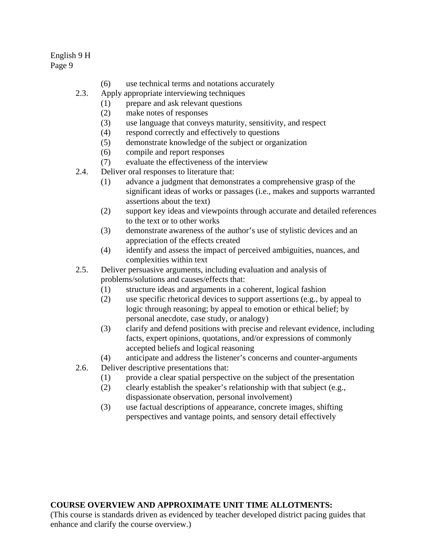- (6) use technical terms and notations accurately
- 2.3. Apply appropriate interviewing techniques
	- (1) prepare and ask relevant questions
	- (2) make notes of responses
	- (3) use language that conveys maturity, sensitivity, and respect
	- (4) respond correctly and effectively to questions
	- (5) demonstrate knowledge of the subject or organization
	- (6) compile and report responses
	- (7) evaluate the effectiveness of the interview
- 2.4. Deliver oral responses to literature that:
	- (1) advance a judgment that demonstrates a comprehensive grasp of the significant ideas of works or passages (i.e., makes and supports warranted assertions about the text)
	- (2) support key ideas and viewpoints through accurate and detailed references to the text or to other works
	- (3) demonstrate awareness of the author's use of stylistic devices and an appreciation of the effects created
	- (4) identify and assess the impact of perceived ambiguities, nuances, and complexities within text
- 2.5. Deliver persuasive arguments, including evaluation and analysis of problems/solutions and causes/effects that:
	- (1) structure ideas and arguments in a coherent, logical fashion
	- (2) use specific rhetorical devices to support assertions (e.g., by appeal to logic through reasoning; by appeal to emotion or ethical belief; by personal anecdote, case study, or analogy)
	- (3) clarify and defend positions with precise and relevant evidence, including facts, expert opinions, quotations, and/or expressions of commonly accepted beliefs and logical reasoning
	- (4) anticipate and address the listener's concerns and counter-arguments
- 2.6. Deliver descriptive presentations that:
	- (1) provide a clear spatial perspective on the subject of the presentation
	- (2) clearly establish the speaker's relationship with that subject (e.g., dispassionate observation, personal involvement)
	- (3) use factual descriptions of appearance, concrete images, shifting perspectives and vantage points, and sensory detail effectively

# **COURSE OVERVIEW AND APPROXIMATE UNIT TIME ALLOTMENTS:**

(This course is standards driven as evidenced by teacher developed district pacing guides that enhance and clarify the course overview.)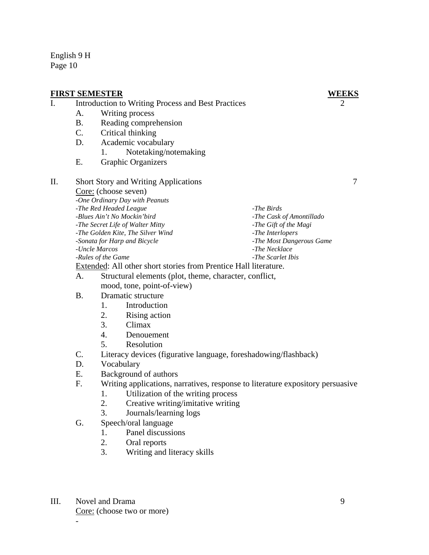#### **FIRST SEMESTER WEEKS** I. Introduction to Writing Process and Best Practices 2 A. Writing process B. Reading comprehension C. Critical thinking D. Academic vocabulary 1. Notetaking/notemaking E. Graphic Organizers II. Short Story and Writing Applications 7 Core: (choose seven)  *-One Ordinary Day with Peanuts -The Red Headed League -Blues Ain't No Mockin'bird -The Secret Life of Walter Mitty -The Golden Kite, The Silver Wind -Sonata for Harp and Bicycle -Uncle Marcos -Rules of the Game -The Birds -The Cask of Amontillado -The Gift of the Magi -The Interlopers -The Most Dangerous Game -The Necklace -The Scarlet Ibis*  Extended: All other short stories from Prentice Hall literature. A. Structural elements (plot, theme, character, conflict, mood, tone, point-of-view) B. Dramatic structure 1. Introduction 2. Rising action

- 3. Climax
- 4. Denouement
- 5. Resolution
- C. Literacy devices (figurative language, foreshadowing/flashback)
- D. Vocabulary
- E. Background of authors
- F. Writing applications, narratives, response to literature expository persuasive
	- 1. Utilization of the writing process
	- 2. Creative writing/imitative writing
	- 3. Journals/learning logs
- G. Speech/oral language
	- 1. Panel discussions
	- 2. Oral reports
	- 3. Writing and literacy skills
- III. Novel and Drama 9 Core: (choose two or more)

*-*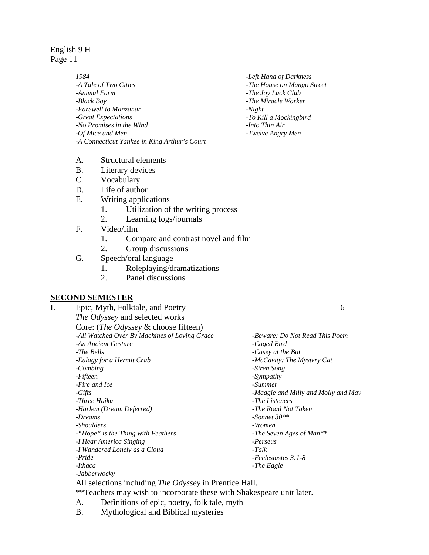> *1984 -A Tale of Two Cities -Animal Farm -Black Boy -Farewell to Manzanar -Great Expectations -No Promises in the Wind -Of Mice and Men -A Connecticut Yankee in King Arthur's Court*

- A. Structural elements
- B. Literary devices
- C. Vocabulary
- D. Life of author
- E. Writing applications
	- 1. Utilization of the writing process
	- 2. Learning logs/journals
- F. Video/film
	- 1. Compare and contrast novel and film
	- 2. Group discussions
- G. Speech/oral language
	- 1. Roleplaying/dramatizations
	- 2. Panel discussions

### **SECOND SEMESTER**

I. Epic, Myth, Folktale, and Poetry 6 *The Odyssey* and selected works Core: (*The Odyssey* & choose fifteen) *-All Watched Over By Machines of Loving Grace -An Ancient Gesture -The Bells -Beware: Do Not Read This Poem -Caged Bird -Casey at the Bat -Eulogy for a Hermit Crab -Combing -Fifteen -Fire and Ice -Gifts -Three Haiku -Harlem (Dream Deferred) -Dreams -Shoulders -"Hope" is the Thing with Feathers -I Hear America Singing -I Wandered Lonely as a Cloud -Pride -Ithaca -Jabberwocky -McCavity: The Mystery Cat -Siren Song -Sympathy -Summer -Maggie and Milly and Molly and May -The Listeners -The Road Not Taken -Sonnet 30\*\* -Women -The Seven Ages of Man\*\* -Perseus -Talk -Ecclesiastes 3:1-8 -The Eagle* 

All selections including *The Odyssey* in Prentice Hall.

\*\*Teachers may wish to incorporate these with Shakespeare unit later.

- A. Definitions of epic, poetry, folk tale, myth
- B. Mythological and Biblical mysteries

*-Left Hand of Darkness -The House on Mango Street -The Joy Luck Club -The Miracle Worker -Night -To Kill a Mockingbird -Into Thin Air -Twelve Angry Men*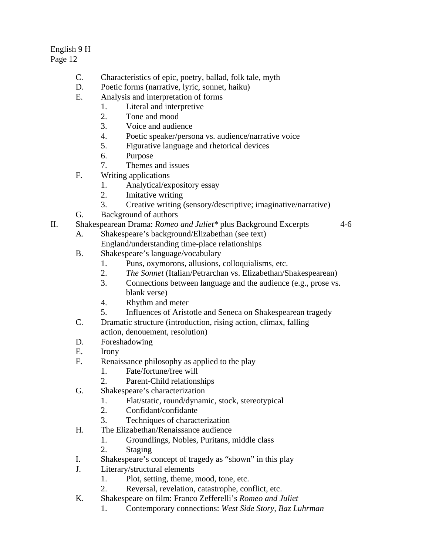# English 9 H

Page 12

- C. Characteristics of epic, poetry, ballad, folk tale, myth
- D. Poetic forms (narrative, lyric, sonnet, haiku)
- E. Analysis and interpretation of forms
	- 1. Literal and interpretive
	- 2. Tone and mood
	- 3. Voice and audience
	- 4. Poetic speaker/persona vs. audience/narrative voice
	- 5. Figurative language and rhetorical devices
	- 6. Purpose
	- 7. Themes and issues
- F. Writing applications
	- 1. Analytical/expository essay
	- 2. Imitative writing
	- 3. Creative writing (sensory/descriptive; imaginative/narrative)
- G. Background of authors
- II. Shakespearean Drama: *Romeo and Juliet\** plus Background Excerpts 4-6
	- A. Shakespeare's background/Elizabethan (see text) England/understanding time-place relationships
	- B. Shakespeare's language/vocabulary
		- 1. Puns, oxymorons, allusions, colloquialisms, etc.
		- 2. *The Sonnet* (Italian/Petrarchan vs. Elizabethan/Shakespearean)
		- 3. Connections between language and the audience (e.g., prose vs. blank verse)
		- 4. Rhythm and meter
		- 5. Influences of Aristotle and Seneca on Shakespearean tragedy
	- C. Dramatic structure (introduction, rising action, climax, falling action, denouement, resolution)
	- D. Foreshadowing
	- E. Irony
	- F. Renaissance philosophy as applied to the play
		- 1. Fate/fortune/free will
		- 2. Parent-Child relationships
	- G. Shakespeare's characterization
		- 1. Flat/static, round/dynamic, stock, stereotypical
		- 2. Confidant/confidante
		- 3. Techniques of characterization
	- H. The Elizabethan/Renaissance audience
		- 1. Groundlings, Nobles, Puritans, middle class
		- 2. Staging
	- I. Shakespeare's concept of tragedy as "shown" in this play
	- J. Literary/structural elements
		- 1. Plot, setting, theme, mood, tone, etc.
		- 2. Reversal, revelation, catastrophe, conflict, etc.
	- K. Shakespeare on film: Franco Zefferelli's *Romeo and Juliet*
		- 1. Contemporary connections: *West Side Story, Baz Luhrman*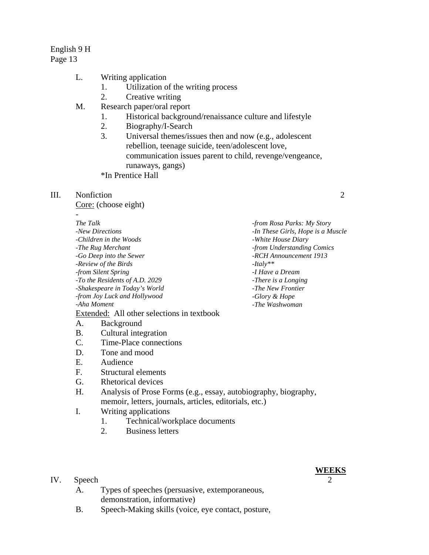English 9 H

Page 13

- L. Writing application
	- 1. Utilization of the writing process
	- 2. Creative writing
- M. Research paper/oral report
	- 1. Historical background/renaissance culture and lifestyle
	- 2. Biography/I-Search
	- 3. Universal themes/issues then and now (e.g., adolescent rebellion, teenage suicide, teen/adolescent love, communication issues parent to child, revenge/vengeance, runaways, gangs)
	- \*In Prentice Hall

### III. Nonfiction 2

Core: (choose eight)

#### *- The Talk*

*-New Directions -Children in the Woods -The Rug Merchant -Go Deep into the Sewer -Review of the Birds -from Silent Spring -To the Residents of A.D. 2029 -Shakespeare in Today's World -from Joy Luck and Hollywood -Aha Moment* 

Extended: All other selections in textbook

- A. Background
- B. Cultural integration
- C. Time-Place connections
- D. Tone and mood
- E. Audience
- F. Structural elements
- G. Rhetorical devices
- H. Analysis of Prose Forms (e.g., essay, autobiography, biography, memoir, letters, journals, articles, editorials, etc.)
- I. Writing applications
	- 1. Technical/workplace documents
	- 2. Business letters

### IV. Speech 2

- A. Types of speeches (persuasive, extemporaneous, demonstration, informative)
- B. Speech-Making skills (voice, eye contact, posture,

#### *-from Rosa Parks: My Story -In These Girls, Hope is a Muscle -White House Diary -from Understanding Comics -RCH Announcement 1913 -Italy\*\* -I Have a Dream -There is a Longing -The New Frontier -Glory & Hope -The Washwoman*

# **WEEKS**